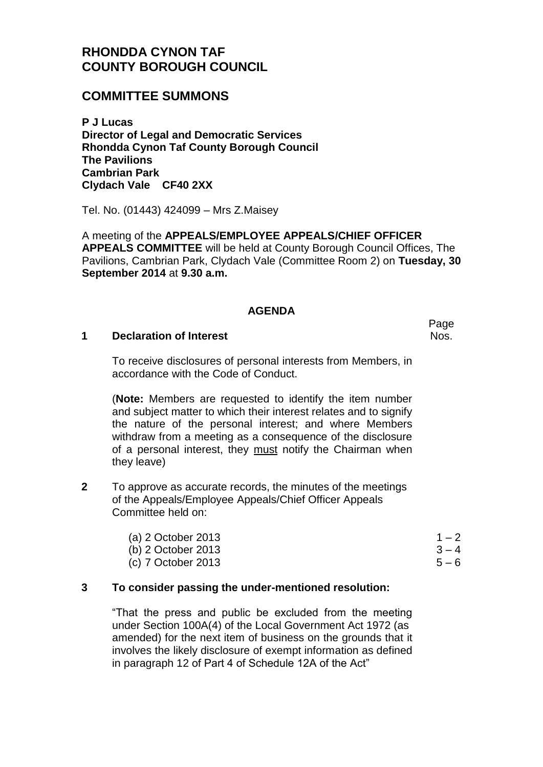# **RHONDDA CYNON TAF COUNTY BOROUGH COUNCIL**

## **COMMITTEE SUMMONS**

**P J Lucas Director of Legal and Democratic Services Rhondda Cynon Taf County Borough Council The Pavilions Cambrian Park Clydach Vale CF40 2XX**

Tel. No. (01443) 424099 – Mrs Z.Maisey

A meeting of the **APPEALS/EMPLOYEE APPEALS/CHIEF OFFICER APPEALS COMMITTEE** will be held at County Borough Council Offices, The Pavilions, Cambrian Park, Clydach Vale (Committee Room 2) on **Tuesday, 30 September 2014** at **9.30 a.m.**

#### **AGENDA**

#### **1 Declaration of Interest**

To receive disclosures of personal interests from Members, in accordance with the Code of Conduct.

(**Note:** Members are requested to identify the item number and subject matter to which their interest relates and to signify the nature of the personal interest; and where Members withdraw from a meeting as a consequence of the disclosure of a personal interest, they must notify the Chairman when they leave)

**2** To approve as accurate records, the minutes of the meetings of the Appeals/Employee Appeals/Chief Officer Appeals Committee held on:

| (a) $2$ October 2013 | $1 - 2$ |
|----------------------|---------|
| (b) $2$ October 2013 | $3 - 4$ |
| (c) 7 October 2013   | $5 - 6$ |

### **3 To consider passing the under-mentioned resolution:**

"That the press and public be excluded from the meeting under Section 100A(4) of the Local Government Act 1972 (as amended) for the next item of business on the grounds that it involves the likely disclosure of exempt information as defined in paragraph 12 of Part 4 of Schedule 12A of the Act"

Page Nos.